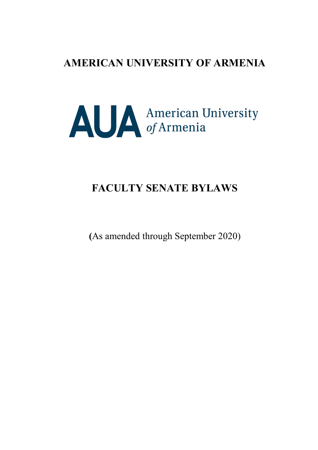# **AMERICAN UNIVERSITY OF ARMENIA**



# **FACULTY SENATE BYLAWS**

**(**As amended through September 2020)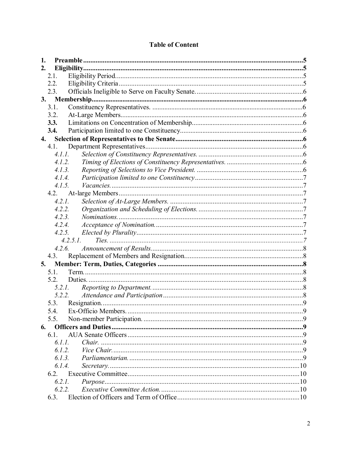| 1. |        |                         |   |  |
|----|--------|-------------------------|---|--|
| 2. |        |                         |   |  |
|    | 2.1.   |                         |   |  |
|    | 2.2.   |                         |   |  |
|    | 2.3.   |                         |   |  |
| 3. |        |                         |   |  |
|    | 3.1.   |                         |   |  |
|    | 3.2.   |                         |   |  |
|    | 3.3.   |                         |   |  |
|    | 3.4.   |                         |   |  |
| 4. |        |                         |   |  |
|    | 4.1.   |                         |   |  |
|    | 4.1.1. |                         |   |  |
|    | 4.1.2. |                         |   |  |
|    | 4.1.3. |                         |   |  |
|    | 4.1.4. |                         |   |  |
|    | 4.1.5. |                         |   |  |
|    | 4.2.   |                         |   |  |
|    | 4.2.1. |                         |   |  |
|    | 4.2.2. |                         |   |  |
|    | 4.2.3. |                         |   |  |
|    | 4.2.4. |                         |   |  |
|    | 4.2.5. |                         |   |  |
|    |        | $4.2.5.1$ .             |   |  |
|    | 4.2.6. |                         |   |  |
|    | 4.3.   |                         |   |  |
| 5. |        |                         |   |  |
|    | 5.1.   |                         |   |  |
|    | 5.2.   |                         |   |  |
|    |        | 5.2.1.                  |   |  |
|    |        | 5.2.2.                  |   |  |
|    | 5.3.   |                         |   |  |
|    |        | 5.4. Ex-Officio Members | 9 |  |
|    | 5.5.   |                         |   |  |
| 6. |        |                         |   |  |
|    | 6.1.   |                         |   |  |
|    | 6.1.1. |                         |   |  |
|    | 6.1.2. |                         |   |  |
|    | 6.1.3. |                         |   |  |
|    | 6.1.4. |                         |   |  |
|    | 6.2.   |                         |   |  |
|    | 6.2.1. |                         |   |  |
|    | 6.2.2. |                         |   |  |
|    | 6.3.   |                         |   |  |

# **Table of Content**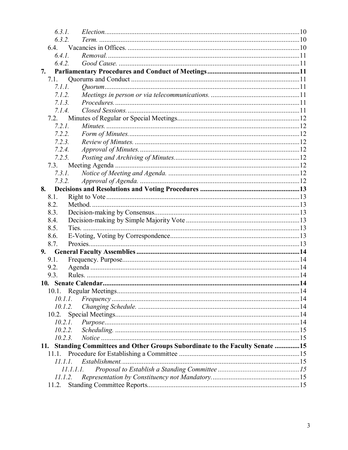| 6.3.1.  |                                                                           |  |
|---------|---------------------------------------------------------------------------|--|
| 6.3.2.  |                                                                           |  |
|         |                                                                           |  |
| 6.4.1.  |                                                                           |  |
| 6.4.2.  |                                                                           |  |
| 7.      |                                                                           |  |
| 7.1.    |                                                                           |  |
| 7.1.1.  |                                                                           |  |
| 7.1.2.  |                                                                           |  |
| 7.1.3   |                                                                           |  |
| 7.1.4.  |                                                                           |  |
| 7.2.    |                                                                           |  |
| 7.2.1.  |                                                                           |  |
| 7.2.2.  |                                                                           |  |
| 7.2.3.  |                                                                           |  |
| 7.2.4.  |                                                                           |  |
| 7.2.5.  |                                                                           |  |
| 7.3.    |                                                                           |  |
| 7.3.1.  |                                                                           |  |
| 7.3.2.  |                                                                           |  |
| 8.      |                                                                           |  |
| 8.1.    |                                                                           |  |
| 8.2.    |                                                                           |  |
| 8.3.    |                                                                           |  |
| 8.4.    |                                                                           |  |
| 8.5.    |                                                                           |  |
| 8.6.    |                                                                           |  |
| 8.7.    |                                                                           |  |
| 9.      |                                                                           |  |
| 9.1.    |                                                                           |  |
| 9.2.    |                                                                           |  |
| 9.3.    |                                                                           |  |
|         |                                                                           |  |
| 10.1.   |                                                                           |  |
| 10.1.1. |                                                                           |  |
| 10.1.2. |                                                                           |  |
| 10.2.   |                                                                           |  |
| 10.2.1. |                                                                           |  |
| 10.2.2. |                                                                           |  |
| 10.2.3. |                                                                           |  |
| 11.     | Standing Committees and Other Groups Subordinate to the Faculty Senate 15 |  |
| 11.1.   |                                                                           |  |
| 11.1.1. |                                                                           |  |
|         | 11.1.1.1.                                                                 |  |
| 11.1.2. |                                                                           |  |
| 11.2.   |                                                                           |  |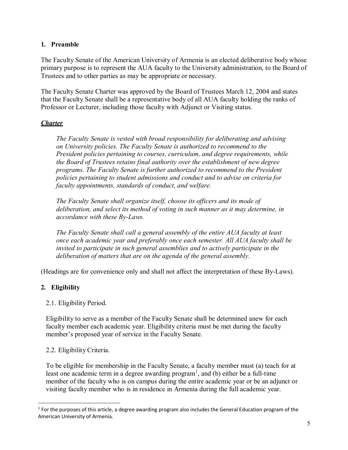## <span id="page-4-0"></span>**1. Preamble**

The Faculty Senate of the American University of Armenia is an elected deliberative bodywhose primary purpose is to represent the AUA faculty to the University administration, to the Board of Trustees and to other parties as may be appropriate or necessary.

The Faculty Senate Charter was approved by the Board of Trustees March 12, 2004 and states that the Faculty Senate shall be a representative body of all AUA faculty holding the ranks of Professor or Lecturer, including those faculty with Adjunct or Visiting status.

# *Charter*

*The Faculty Senate is vested with broad responsibility for deliberating and advising on University policies. The Faculty Senate is authorized to recommend to the President policies pertaining to courses, curriculum, and degree requirements, while the Board of Trustees retains final authority over the establishment of new degree programs. The Faculty Senate is further authorized to recommend to the President policies pertaining to student admissions and conduct and to advise on criteria for faculty appointments, standards of conduct, and welfare.*

*The Faculty Senate shall organize itself, choose its officers and its mode of deliberation, and select its method of voting in such manner as it may determine, in accordance with these By-Laws.*

*The Faculty Senate shall call a general assembly of the entire AUA faculty at least once each academic year and preferably once each semester. All AUA faculty shall be invited to participate in such general assemblies and to actively participate in the deliberation of matters that are on the agenda of the general assembly.*

(Headings are for convenience only and shall not affect the interpretation of these By-Laws).

# <span id="page-4-1"></span>**2. Eligibility**

# <span id="page-4-2"></span>2.1. Eligibility Period.

Eligibility to serve as a member of the Faculty Senate shall be determined anew for each faculty member each academic year. Eligibility criteria must be met during the faculty member's proposed year of service in the Faculty Senate.

# <span id="page-4-3"></span>2.2. Eligibility Criteria.

To be eligible for membership in the Faculty Senate, a faculty member must (a) teach for at least one academic term in a degree awarding program<sup>[1](#page-4-4)</sup>, and (b) either be a full-time member of the faculty who is on campus during the entire academic year or be an adjunct or visiting faculty member who is in residence in Armenia during the full academic year.

<span id="page-4-4"></span>**<sup>.</sup>**  $1$  For the purposes of this article, a degree awarding program also includes the General Education program of the American University of Armenia.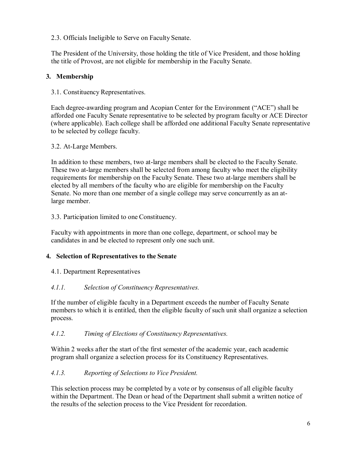<span id="page-5-0"></span>2.3. Officials Ineligible to Serve on Faculty Senate.

The President of the University, those holding the title of Vice President, and those holding the title of Provost, are not eligible for membership in the Faculty Senate.

# **3. Membership**

## 3.1. Constituency Representatives.

Each degree-awarding program and Acopian Center for the Environment ("ACE") shall be afforded one Faculty Senate representative to be selected by program faculty or ACE Director (where applicable). Each college shall be afforded one additional Faculty Senate representative to be selected by college faculty.

## 3.2. At-Large Members.

In addition to these members, two at-large members shall be elected to the Faculty Senate. These two at-large members shall be selected from among faculty who meet the eligibility requirements for membership on the Faculty Senate. These two at-large members shall be elected by all members of the faculty who are eligible for membership on the Faculty Senate. No more than one member of a single college may serve concurrently as an atlarge member.

## 3.3. Participation limited to one Constituency.

Faculty with appointments in more than one college, department, or school may be candidates in and be elected to represent only one such unit.

# <span id="page-5-1"></span>**4. Selection of Representatives to the Senate**

<span id="page-5-2"></span>4.1. Department Representatives

# <span id="page-5-3"></span>*4.1.1. Selection of Constituency Representatives.*

If the number of eligible faculty in a Department exceeds the number of Faculty Senate members to which it is entitled, then the eligible faculty of such unit shall organize a selection process.

## <span id="page-5-4"></span>*4.1.2. Timing of Elections of Constituency Representatives.*

Within 2 weeks after the start of the first semester of the academic year, each academic program shall organize a selection process for its Constituency Representatives.

## <span id="page-5-5"></span>*4.1.3. Reporting of Selections to Vice President.*

This selection process may be completed by a vote or by consensus of all eligible faculty within the Department. The Dean or head of the Department shall submit a written notice of the results of the selection process to the Vice President for recordation.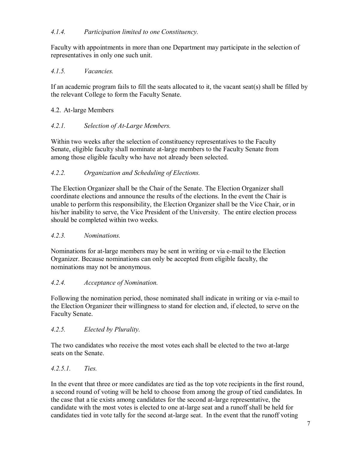# <span id="page-6-0"></span>*4.1.4. Participation limited to one Constituency.*

Faculty with appointments in more than one Department may participate in the selection of representatives in only one such unit.

## <span id="page-6-1"></span>*4.1.5. Vacancies.*

If an academic program fails to fill the seats allocated to it, the vacant seat(s) shall be filled by the relevant College to form the Faculty Senate.

## <span id="page-6-2"></span>4.2. At-large Members

# <span id="page-6-3"></span>*4.2.1. Selection of At-Large Members.*

Within two weeks after the selection of constituency representatives to the Faculty Senate, eligible faculty shall nominate at-large members to the Faculty Senate from among those eligible faculty who have not already been selected.

# <span id="page-6-4"></span>*4.2.2. Organization and Scheduling of Elections.*

The Election Organizer shall be the Chair of the Senate. The Election Organizer shall coordinate elections and announce the results of the elections. In the event the Chair is unable to perform this responsibility, the Election Organizer shall be the Vice Chair, or in his/her inability to serve, the Vice President of the University. The entire election process should be completed within two weeks.

## <span id="page-6-5"></span>*4.2.3. Nominations.*

Nominations for at-large members may be sent in writing or via e-mail to the Election Organizer. Because nominations can only be accepted from eligible faculty, the nominations may not be anonymous.

## <span id="page-6-6"></span>*4.2.4. Acceptance of Nomination.*

Following the nomination period, those nominated shall indicate in writing or via e-mail to the Election Organizer their willingness to stand for election and, if elected, to serve on the Faculty Senate.

## <span id="page-6-7"></span>*4.2.5. Elected by Plurality.*

The two candidates who receive the most votes each shall be elected to the two at-large seats on the Senate.

## <span id="page-6-8"></span>*4.2.5.1. Ties.*

In the event that three or more candidates are tied as the top vote recipients in the first round, a second round of voting will be held to choose from among the group of tied candidates. In the case that a tie exists among candidates for the second at-large representative, the candidate with the most votes is elected to one at-large seat and a runoff shall be held for candidates tied in vote tally for the second at-large seat. In the event that the runoff voting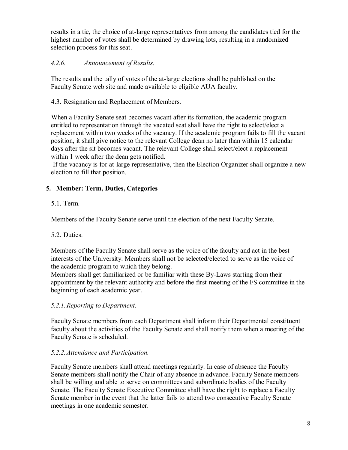results in a tie, the choice of at-large representatives from among the candidates tied for the highest number of votes shall be determined by drawing lots, resulting in a randomized selection process for this seat.

# <span id="page-7-0"></span>*4.2.6. Announcement of Results.*

The results and the tally of votes of the at-large elections shall be published on the Faculty Senate web site and made available to eligible AUA faculty.

<span id="page-7-1"></span>4.3. Resignation and Replacement of Members.

When a Faculty Senate seat becomes vacant after its formation, the academic program entitled to representation through the vacated seat shall have the right to select/elect a replacement within two weeks of the vacancy. If the academic program fails to fill the vacant position, it shall give notice to the relevant College dean no later than within 15 calendar days after the sit becomes vacant. The relevant College shall select/elect a replacement within 1 week after the dean gets notified.

If the vacancy is for at-large representative, then the Election Organizer shall organize a new election to fill that position.

# <span id="page-7-2"></span>**5. Member: Term, Duties, Categories**

# <span id="page-7-3"></span>5.1. Term.

Members of the Faculty Senate serve until the election of the next Faculty Senate.

## <span id="page-7-4"></span>5.2. Duties.

Members of the Faculty Senate shall serve as the voice of the faculty and act in the best interests of the University. Members shall not be selected/elected to serve as the voice of the academic program to which they belong.

Members shall get familiarized or be familiar with these By-Laws starting from their appointment by the relevant authority and before the first meeting of the FS committee in the beginning of each academic year.

# <span id="page-7-5"></span>*5.2.1.Reporting to Department.*

Faculty Senate members from each Department shall inform their Departmental constituent faculty about the activities of the Faculty Senate and shall notify them when a meeting of the Faculty Senate is scheduled.

## <span id="page-7-6"></span>*5.2.2.Attendance and Participation.*

Faculty Senate members shall attend meetings regularly. In case of absence the Faculty Senate members shall notify the Chair of any absence in advance. Faculty Senate members shall be willing and able to serve on committees and subordinate bodies of the Faculty Senate. The Faculty Senate Executive Committee shall have the right to replace a Faculty Senate member in the event that the latter fails to attend two consecutive Faculty Senate meetings in one academic semester.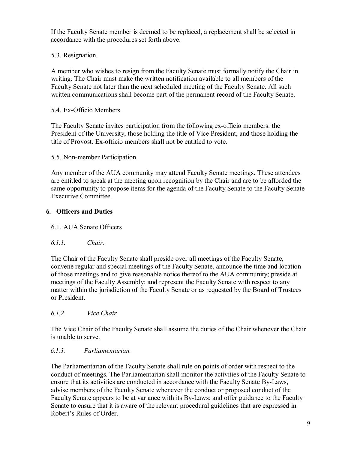If the Faculty Senate member is deemed to be replaced, a replacement shall be selected in accordance with the procedures set forth above.

<span id="page-8-0"></span>5.3. Resignation.

A member who wishes to resign from the Faculty Senate must formally notify the Chair in writing. The Chair must make the written notification available to all members of the Faculty Senate not later than the next scheduled meeting of the Faculty Senate. All such written communications shall become part of the permanent record of the Faculty Senate.

<span id="page-8-1"></span>5.4. Ex-Officio Members.

The Faculty Senate invites participation from the following ex-officio members: the President of the University, those holding the title of Vice President, and those holding the title of Provost. Ex-officio members shall not be entitled to vote.

<span id="page-8-2"></span>5.5. Non-member Participation.

Any member of the AUA community may attend Faculty Senate meetings. These attendees are entitled to speak at the meeting upon recognition by the Chair and are to be afforded the same opportunity to propose items for the agenda of the Faculty Senate to the Faculty Senate Executive Committee.

# <span id="page-8-3"></span>**6. Officers and Duties**

## <span id="page-8-4"></span>6.1. AUA Senate Officers

## <span id="page-8-5"></span>*6.1.1. Chair.*

The Chair of the Faculty Senate shall preside over all meetings of the Faculty Senate, convene regular and special meetings of the Faculty Senate, announce the time and location of those meetings and to give reasonable notice thereof to the AUA community; preside at meetings of the Faculty Assembly; and represent the Faculty Senate with respect to any matter within the jurisdiction of the Faculty Senate or as requested by the Board of Trustees or President.

## <span id="page-8-6"></span>*6.1.2. Vice Chair.*

The Vice Chair of the Faculty Senate shall assume the duties of the Chair whenever the Chair is unable to serve.

## <span id="page-8-7"></span>*6.1.3. Parliamentarian.*

The Parliamentarian of the Faculty Senate shall rule on points of order with respect to the conduct of meetings. The Parliamentarian shall monitor the activities of the Faculty Senate to ensure that its activities are conducted in accordance with the Faculty Senate By-Laws, advise members of the Faculty Senate whenever the conduct or proposed conduct of the Faculty Senate appears to be at variance with its By-Laws; and offer guidance to the Faculty Senate to ensure that it is aware of the relevant procedural guidelines that are expressed in Robert's Rules of Order.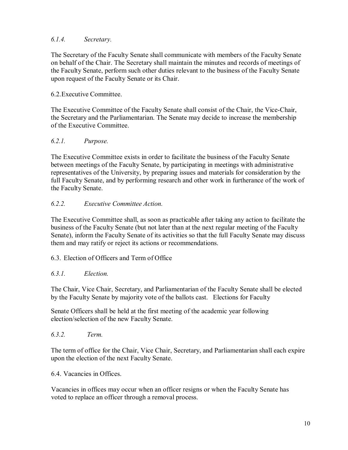# <span id="page-9-0"></span>*6.1.4. Secretary.*

The Secretary of the Faculty Senate shall communicate with members of the Faculty Senate on behalf of the Chair. The Secretary shall maintain the minutes and records of meetings of the Faculty Senate, perform such other duties relevant to the business of the Faculty Senate upon request of the Faculty Senate or its Chair.

## <span id="page-9-1"></span>6.2.Executive Committee.

The Executive Committee of the Faculty Senate shall consist of the Chair, the Vice-Chair, the Secretary and the Parliamentarian. The Senate may decide to increase the membership of the Executive Committee.

## <span id="page-9-2"></span>*6.2.1. Purpose.*

The Executive Committee exists in order to facilitate the business of the Faculty Senate between meetings of the Faculty Senate, by participating in meetings with administrative representatives of the University, by preparing issues and materials for consideration by the full Faculty Senate, and by performing research and other work in furtherance of the work of the Faculty Senate.

# <span id="page-9-3"></span>*6.2.2. Executive Committee Action.*

The Executive Committee shall, as soon as practicable after taking any action to facilitate the business of the Faculty Senate (but not later than at the next regular meeting of the Faculty Senate), inform the Faculty Senate of its activities so that the full Faculty Senate may discuss them and may ratify or reject its actions or recommendations.

## <span id="page-9-4"></span>6.3. Election of Officers and Term of Office

## <span id="page-9-5"></span>*6.3.1. Election.*

The Chair, Vice Chair, Secretary, and Parliamentarian of the Faculty Senate shall be elected by the Faculty Senate by majority vote of the ballots cast. Elections for Faculty

Senate Officers shall be held at the first meeting of the academic year following election/selection of the new Faculty Senate.

<span id="page-9-6"></span>*6.3.2. Term.*

The term of office for the Chair, Vice Chair, Secretary, and Parliamentarian shall each expire upon the election of the next Faculty Senate.

<span id="page-9-7"></span>6.4. Vacancies in Offices.

Vacancies in offices may occur when an officer resigns or when the Faculty Senate has voted to replace an officer through a removal process.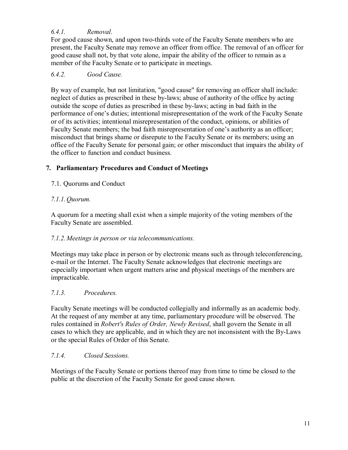# <span id="page-10-0"></span>*6.4.1. Removal.*

For good cause shown, and upon two-thirds vote of the Faculty Senate members who are present, the Faculty Senate may remove an officer from office. The removal of an officer for good cause shall not, by that vote alone, impair the ability of the officer to remain as a member of the Faculty Senate or to participate in meetings.

## <span id="page-10-1"></span>*6.4.2. Good Cause.*

By way of example, but not limitation, "good cause" for removing an officer shall include: neglect of duties as prescribed in these by-laws; abuse of authority of the office by acting outside the scope of duties as prescribed in these by-laws; acting in bad faith in the performance of one's duties; intentional misrepresentation of the work of the Faculty Senate or of its activities; intentional misrepresentation of the conduct, opinions, or abilities of Faculty Senate members; the bad faith misrepresentation of one's authority as an officer; misconduct that brings shame or disrepute to the Faculty Senate or its members; using an office of the Faculty Senate for personal gain; or other misconduct that impairs the ability of the officer to function and conduct business.

# <span id="page-10-2"></span>**7. Parliamentary Procedures and Conduct of Meetings**

<span id="page-10-3"></span>7.1. Quorums and Conduct

# <span id="page-10-4"></span>*7.1.1. Quorum.*

A quorum for a meeting shall exist when a simple majority of the voting members of the Faculty Senate are assembled.

## <span id="page-10-5"></span>*7.1.2. Meetings in person or via telecommunications.*

Meetings may take place in person or by electronic means such as through teleconferencing, e-mail or the Internet. The Faculty Senate acknowledges that electronic meetings are especially important when urgent matters arise and physical meetings of the members are impracticable.

## <span id="page-10-6"></span>*7.1.3. Procedures.*

Faculty Senate meetings will be conducted collegially and informally as an academic body. At the request of any member at any time, parliamentary procedure will be observed. The rules contained in *Robert's Rules of Order, Newly Revised*, shall govern the Senate in all cases to which they are applicable, and in which they are not inconsistent with the By-Laws or the special Rules of Order of this Senate.

## <span id="page-10-7"></span>*7.1.4. Closed Sessions.*

Meetings of the Faculty Senate or portions thereof may from time to time be closed to the public at the discretion of the Faculty Senate for good cause shown.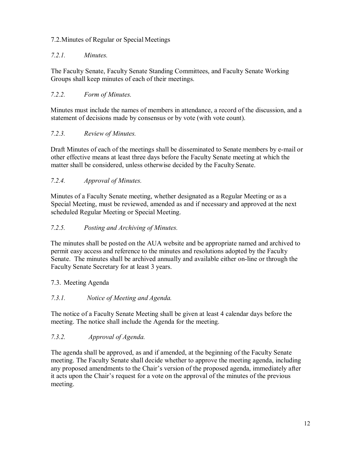# <span id="page-11-0"></span>7.2.Minutes of Regular or Special Meetings

## <span id="page-11-1"></span>*7.2.1. Minutes.*

The Faculty Senate, Faculty Senate Standing Committees, and Faculty Senate Working Groups shall keep minutes of each of their meetings.

# <span id="page-11-2"></span>*7.2.2. Form of Minutes.*

Minutes must include the names of members in attendance, a record of the discussion, and a statement of decisions made by consensus or by vote (with vote count).

## <span id="page-11-3"></span>*7.2.3. Review of Minutes.*

Draft Minutes of each of the meetings shall be disseminated to Senate members by e-mail or other effective means at least three days before the Faculty Senate meeting at which the matter shall be considered, unless otherwise decided by the Faculty Senate.

# <span id="page-11-4"></span>*7.2.4. Approval of Minutes.*

Minutes of a Faculty Senate meeting, whether designated as a Regular Meeting or as a Special Meeting, must be reviewed, amended as and if necessary and approved at the next scheduled Regular Meeting or Special Meeting.

## <span id="page-11-5"></span>*7.2.5. Posting and Archiving of Minutes.*

The minutes shall be posted on the AUA website and be appropriate named and archived to permit easy access and reference to the minutes and resolutions adopted by the Faculty Senate. The minutes shall be archived annually and available either on-line or through the Faculty Senate Secretary for at least 3 years.

## <span id="page-11-6"></span>7.3. Meeting Agenda

## <span id="page-11-7"></span>*7.3.1. Notice of Meeting and Agenda.*

The notice of a Faculty Senate Meeting shall be given at least 4 calendar days before the meeting. The notice shall include the Agenda for the meeting.

## <span id="page-11-8"></span>*7.3.2. Approval of Agenda.*

The agenda shall be approved, as and if amended, at the beginning of the Faculty Senate meeting. The Faculty Senate shall decide whether to approve the meeting agenda, including any proposed amendments to the Chair's version of the proposed agenda, immediately after it acts upon the Chair's request for a vote on the approval of the minutes of the previous meeting.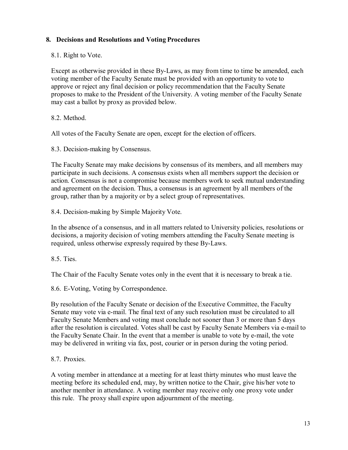# <span id="page-12-0"></span>**8. Decisions and Resolutions and Voting Procedures**

<span id="page-12-1"></span>8.1. Right to Vote.

Except as otherwise provided in these By-Laws, as may from time to time be amended, each voting member of the Faculty Senate must be provided with an opportunity to vote to approve or reject any final decision or policy recommendation that the Faculty Senate proposes to make to the President of the University. A voting member of the Faculty Senate may cast a ballot by proxy as provided below.

<span id="page-12-2"></span>8.2. Method.

All votes of the Faculty Senate are open, except for the election of officers.

<span id="page-12-3"></span>8.3. Decision-making by Consensus.

The Faculty Senate may make decisions by consensus of its members, and all members may participate in such decisions. A consensus exists when all members support the decision or action. Consensus is not a compromise because members work to seek mutual understanding and agreement on the decision. Thus, a consensus is an agreement by all members of the group, rather than by a majority or by a select group of representatives.

<span id="page-12-4"></span>8.4. Decision-making by Simple Majority Vote.

In the absence of a consensus, and in all matters related to University policies, resolutions or decisions, a majority decision of voting members attending the Faculty Senate meeting is required, unless otherwise expressly required by these By-Laws.

<span id="page-12-5"></span>8.5. Ties.

The Chair of the Faculty Senate votes only in the event that it is necessary to break a tie.

<span id="page-12-6"></span>8.6. E-Voting, Voting by Correspondence.

By resolution of the Faculty Senate or decision of the Executive Committee, the Faculty Senate may vote via e-mail. The final text of any such resolution must be circulated to all Faculty Senate Members and voting must conclude not sooner than 3 or more than 5 days after the resolution is circulated. Votes shall be cast by Faculty Senate Members via e-mail to the Faculty Senate Chair. In the event that a member is unable to vote by e-mail, the vote may be delivered in writing via fax, post, courier or in person during the voting period.

<span id="page-12-7"></span>8.7. Proxies.

A voting member in attendance at a meeting for at least thirty minutes who must leave the meeting before its scheduled end, may, by written notice to the Chair, give his/her vote to another member in attendance. A voting member may receive only one proxy vote under this rule. The proxy shall expire upon adjournment of the meeting.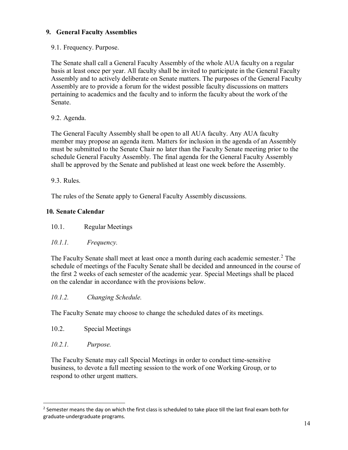# <span id="page-13-0"></span>**9. General Faculty Assemblies**

<span id="page-13-1"></span>9.1. Frequency. Purpose.

The Senate shall call a General Faculty Assembly of the whole AUA faculty on a regular basis at least once per year. All faculty shall be invited to participate in the General Faculty Assembly and to actively deliberate on Senate matters. The purposes of the General Faculty Assembly are to provide a forum for the widest possible faculty discussions on matters pertaining to academics and the faculty and to inform the faculty about the work of the Senate.

# <span id="page-13-2"></span>9.2. Agenda.

The General Faculty Assembly shall be open to all AUA faculty. Any AUA faculty member may propose an agenda item. Matters for inclusion in the agenda of an Assembly must be submitted to the Senate Chair no later than the Faculty Senate meeting prior to the schedule General Faculty Assembly. The final agenda for the General Faculty Assembly shall be approved by the Senate and published at least one week before the Assembly.

<span id="page-13-3"></span>9.3. Rules.

The rules of the Senate apply to General Faculty Assembly discussions.

## <span id="page-13-4"></span>**10. Senate Calendar**

<span id="page-13-5"></span>10.1. Regular Meetings

## <span id="page-13-6"></span>*10.1.1. Frequency.*

The Faculty Senate shall meet at least once a month during each academic semester.<sup>[2](#page-13-10)</sup> The schedule of meetings of the Faculty Senate shall be decided and announced in the course of the first 2 weeks of each semester of the academic year. Special Meetings shall be placed on the calendar in accordance with the provisions below.

## <span id="page-13-7"></span>*10.1.2. Changing Schedule.*

The Faculty Senate may choose to change the scheduled dates of its meetings.

- <span id="page-13-8"></span>10.2. Special Meetings
- <span id="page-13-9"></span>*10.2.1. Purpose.*

<u>.</u>

The Faculty Senate may call Special Meetings in order to conduct time-sensitive business, to devote a full meeting session to the work of one Working Group, or to respond to other urgent matters.

<span id="page-13-10"></span><sup>&</sup>lt;sup>2</sup> Semester means the day on which the first class is scheduled to take place till the last final exam both for graduate-undergraduate programs.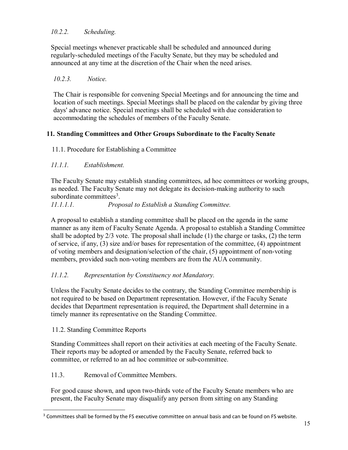# <span id="page-14-0"></span>*10.2.2. Scheduling.*

Special meetings whenever practicable shall be scheduled and announced during regularly-scheduled meetings of the Faculty Senate, but they may be scheduled and announced at any time at the discretion of the Chair when the need arises.

# <span id="page-14-1"></span>*10.2.3. Notice.*

The Chair is responsible for convening Special Meetings and for announcing the time and location of such meetings. Special Meetings shall be placed on the calendar by giving three days' advance notice. Special meetings shall be scheduled with due consideration to accommodating the schedules of members of the Faculty Senate.

# <span id="page-14-2"></span>**11. Standing Committees and Other Groups Subordinate to the Faculty Senate**

# <span id="page-14-3"></span>11.1. Procedure for Establishing a Committee

# <span id="page-14-4"></span>*11.1.1. Establishment.*

The Faculty Senate may establish standing committees, ad hoc committees or working groups, as needed. The Faculty Senate may not delegate its decision-making authority to such subordinate committees<sup>[3](#page-14-9)</sup>.

## <span id="page-14-5"></span>*11.1.1.1. Proposal to Establish a Standing Committee.*

A proposal to establish a standing committee shall be placed on the agenda in the same manner as any item of Faculty Senate Agenda. A proposal to establish a Standing Committee shall be adopted by  $2/3$  vote. The proposal shall include (1) the charge or tasks, (2) the term of service, if any, (3) size and/or bases for representation of the committee, (4) appointment of voting members and designation/selection of the chair, (5) appointment of non-voting members, provided such non-voting members are from the AUA community.

# <span id="page-14-6"></span>*11.1.2. Representation by Constituency not Mandatory.*

Unless the Faculty Senate decides to the contrary, the Standing Committee membership is not required to be based on Department representation. However, if the Faculty Senate decides that Department representation is required, the Department shall determine in a timely manner its representative on the Standing Committee.

## <span id="page-14-7"></span>11.2. Standing Committee Reports

<u>.</u>

Standing Committees shall report on their activities at each meeting of the Faculty Senate. Their reports may be adopted or amended by the Faculty Senate, referred back to committee, or referred to an ad hoc committee or sub-committee.

## <span id="page-14-8"></span>11.3. Removal of Committee Members.

For good cause shown, and upon two-thirds vote of the Faculty Senate members who are present, the Faculty Senate may disqualify any person from sitting on any Standing

<span id="page-14-9"></span><sup>&</sup>lt;sup>3</sup> Committees shall be formed by the FS executive committee on annual basis and can be found on FS website.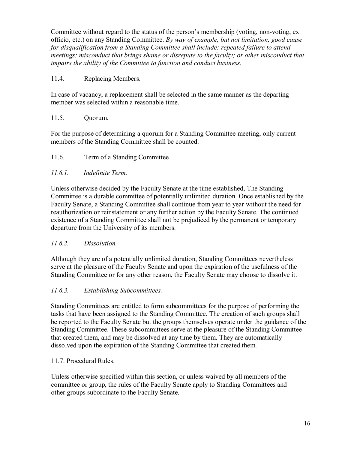Committee without regard to the status of the person's membership (voting, non-voting, ex officio, etc.) on any Standing Committee. *By way of example, but not limitation, good cause for disqualification from a Standing Committee shall include: repeated failure to attend meetings; misconduct that brings shame or disrepute to the faculty; or other misconduct that impairs the ability of the Committee to function and conduct business.*

# <span id="page-15-0"></span>11.4. Replacing Members.

In case of vacancy, a replacement shall be selected in the same manner as the departing member was selected within a reasonable time.

# <span id="page-15-1"></span>11.5. Quorum.

For the purpose of determining a quorum for a Standing Committee meeting, only current members of the Standing Committee shall be counted.

# <span id="page-15-2"></span>11.6. Term of a Standing Committee

# <span id="page-15-3"></span>*11.6.1. Indefinite Term.*

Unless otherwise decided by the Faculty Senate at the time established, The Standing Committee is a durable committee of potentially unlimited duration. Once established by the Faculty Senate, a Standing Committee shall continue from year to year without the need for reauthorization or reinstatement or any further action by the Faculty Senate. The continued existence of a Standing Committee shall not be prejudiced by the permanent or temporary departure from the University of its members.

## <span id="page-15-4"></span>*11.6.2. Dissolution.*

Although they are of a potentially unlimited duration, Standing Committees nevertheless serve at the pleasure of the Faculty Senate and upon the expiration of the usefulness of the Standing Committee or for any other reason, the Faculty Senate may choose to dissolve it.

## <span id="page-15-5"></span>*11.6.3. Establishing Subcommittees.*

Standing Committees are entitled to form subcommittees for the purpose of performing the tasks that have been assigned to the Standing Committee. The creation of such groups shall be reported to the Faculty Senate but the groups themselves operate under the guidance of the Standing Committee. These subcommittees serve at the pleasure of the Standing Committee that created them, and may be dissolved at any time by them. They are automatically dissolved upon the expiration of the Standing Committee that created them.

## <span id="page-15-6"></span>11.7. Procedural Rules.

Unless otherwise specified within this section, or unless waived by all members of the committee or group, the rules of the Faculty Senate apply to Standing Committees and other groups subordinate to the Faculty Senate*.*